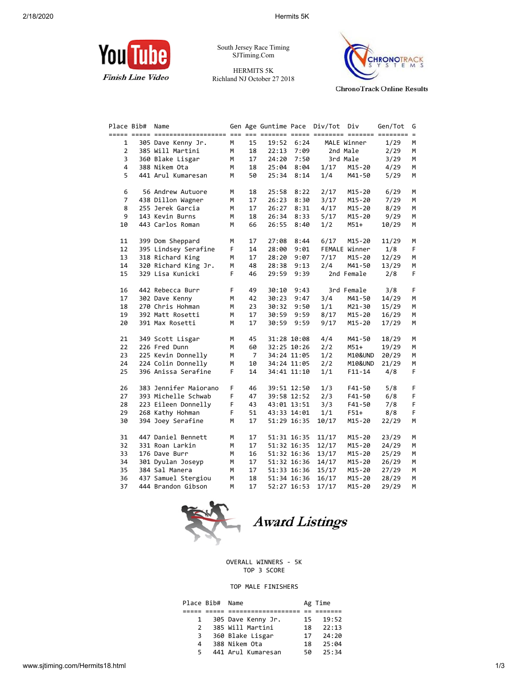

South Jersey Race Timing SJTiming.Com

HERMITS 5K Richland NJ October 27 2018



**ChronoTrack Online Results** 

| Place Bib#     | Name                  |    |                |             |             | Gen Age Guntime Pace Div/Tot Div |               | Gen/Tot | G  |
|----------------|-----------------------|----|----------------|-------------|-------------|----------------------------------|---------------|---------|----|
|                |                       |    |                |             |             |                                  |               |         |    |
| 1              | 305 Dave Kenny Jr.    | М  | 15             | 19:52       | 6:24        |                                  | MALE Winner   | 1/29    | м  |
| $\overline{2}$ | 385 Will Martini      | M  | 18             | 22:13       | 7:09        |                                  | 2nd Male      | 2/29    | М  |
| 3              | 360 Blake Lisgar      | м  | 17             | 24:20       | 7:50        |                                  | 3rd Male      | 3/29    | м  |
| 4              | 388 Nikem Ota         | м  | 18             | 25:04       | 8:04        | 1/17                             | M15-20        | 4/29    | М  |
| 5              | 441 Arul Kumaresan    | м  | 50             | 25:34       | 8:14        | 1/4                              | M41-50        | 5/29    | M  |
|                |                       |    |                |             |             |                                  |               |         |    |
| 6              | 56 Andrew Autuore     | М  | 18             | 25:58       | 8:22        | 2/17                             | M15-20        | 6/29    | М  |
| $\overline{7}$ | 438 Dillon Wagner     | м  | 17             | 26:23       | 8:30        | 3/17                             | M15-20        | 7/29    | М  |
| 8              | 255 Jerek Garcia      | м  | 17             | 26:27       | 8:31        | 4/17                             | M15-20        | 8/29    | М  |
| 9              | 143 Kevin Burns       | м  | 18             | 26:34       | 8:33        | 5/17                             | M15-20        | 9/29    | М  |
| 10             | 443 Carlos Roman      | м  | 66             | 26:55       | 8:40        | 1/2                              | $M51+$        | 10/29   | M  |
| 11             | 399 Dom Sheppard      | М  | 17             | 27:08       | 8:44        | 6/17                             | M15-20        | 11/29   | м  |
| 12             | 395 Lindsey Serafine  | F  | 14             | 28:00       | 9:01        |                                  | FEMALE Winner | 1/8     | F. |
| 13             | 318 Richard King      | м  | 17             | 28:20       | 9:07        | 7/17                             | M15-20        | 12/29   | М  |
| 14             | 320 Richard King Jr.  | М  | 48             | 28:38       | 9:13        | 2/4                              | M41-50        | 13/29   | м  |
| 15             | 329 Lisa Kunicki      | F. | 46             | 29:59       | 9:39        |                                  | 2nd Female    | 2/8     | F. |
|                |                       |    |                |             |             |                                  |               |         |    |
| 16             | 442 Rebecca Burr      | F  | 49             | 30:10       | 9:43        |                                  | 3rd Female    | 3/8     | F  |
| 17             | 302 Dave Kenny        | м  | 42             | 30:23       | 9:47        | 3/4                              | M41-50        | 14/29   | М  |
| 18             | 270 Chris Hohman      | м  | 23             | 30:32       | 9:50        | 1/1                              | M21-30        | 15/29   | М  |
| 19             | 392 Matt Rosetti      | м  | 17             | 30:59       | 9:59        | 8/17                             | M15-20        | 16/29   | М  |
| 20             | 391 Max Rosetti       | м  | 17             | 30:59       | 9:59        | 9/17                             | M15-20        | 17/29   | M  |
|                |                       |    |                |             |             |                                  |               |         |    |
| 21             | 349 Scott Lisgar      | М  | 45             |             | 31:28 10:08 | 4/4                              | M41-50        | 18/29   | М  |
| 22             | 226 Fred Dunn         | м  | 60             |             | 32:25 10:26 | 2/2                              | $M51+$        | 19/29   | М  |
| 23             | 225 Kevin Donnelly    | M  | $\overline{7}$ |             | 34:24 11:05 | 1/2                              | M10&UND       | 20/29   | М  |
| 24             | 224 Colin Donnelly    | м  | 10             |             | 34:24 11:05 | 2/2                              | M10&UND       | 21/29   | м  |
| 25             | 396 Anissa Serafine   | F. | 14             |             | 34:41 11:10 | 1/1                              | $F11 - 14$    | 4/8     | F  |
| 26             | 383 Jennifer Maiorano | F  | 46             |             | 39:51 12:50 | 1/3                              | F41-50        | 5/8     | F  |
| 27             | 393 Michelle Schwab   | F  | 47             |             | 39:58 12:52 | 2/3                              | F41-50        | 6/8     | F  |
| 28             | 223 Eileen Donnelly   | F  | 43             |             | 43:01 13:51 | 3/3                              | F41-50        | 7/8     | F. |
| 29             | 268 Kathy Hohman      | F. | 51             |             | 43:33 14:01 | 1/1                              | $F51+$        | 8/8     | F  |
| 30             | 394 Joey Serafine     | м  | 17             |             | 51:29 16:35 | 10/17                            | M15-20        | 22/29   | M  |
| 31             | 447 Daniel Bennett    | м  | 17             |             | 51:31 16:35 | 11/17                            | M15-20        | 23/29   | М  |
| 32             | 331 Roan Larkin       | м  | 17             |             | 51:32 16:35 | 12/17                            | M15-20        | 24/29   | M  |
| 33             | 176 Dave Burr         | М  | 16             |             | 51:32 16:36 | 13/17                            | M15-20        | 25/29   | М  |
| 34             | 301 Dyulan Joseyp     | М  | 17             |             | 51:32 16:36 | 14/17                            | M15-20        | 26/29   | М  |
| 35             | 384 Sal Manera        | м  | 17             |             | 51:33 16:36 | 15/17                            | M15-20        | 27/29   | M  |
| 36             | 437 Samuel Stergiou   | M  | 18             |             | 51:34 16:36 | 16/17                            | M15-20        | 28/29   | м  |
| 37             | 444 Brandon Gibson    | м  | 17             | 52:27 16:53 |             | 17/17                            | M15-20        | 29/29   | м  |
|                |                       |    |                |             |             |                                  |               |         |    |



Award Listings

OVERALL WINNERS - 5K TOP 3 SCORE

## TOP MALE FINISHERS

|                | Place Bib# Name |                    |    | Ag Time |
|----------------|-----------------|--------------------|----|---------|
|                |                 |                    |    |         |
| $\mathbf{1}$   |                 | 305 Dave Kenny Jr. | 15 | 19:52   |
| $\mathcal{P}$  |                 | 385 Will Martini   | 18 | 22:13   |
| $\overline{3}$ |                 | 360 Blake Lisgar   | 17 | 24:20   |
| 4              |                 | 388 Nikem Ota      | 18 | 25:04   |
| 5              |                 | 441 Arul Kumaresan | 50 | 25:34   |
|                |                 |                    |    |         |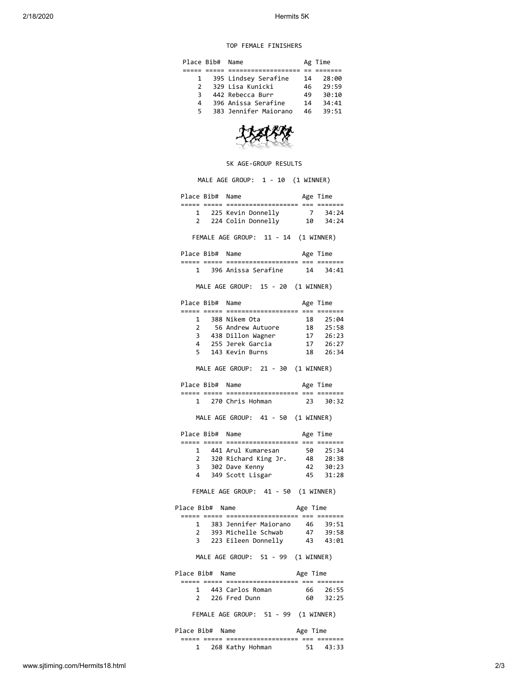## TOP FEMALE FINISHERS

| Place Bib#    |  | Name                  |    | Ag Time |
|---------------|--|-----------------------|----|---------|
|               |  |                       |    |         |
| $\mathbf{1}$  |  | 395 Lindsey Serafine  | 14 | 28:00   |
| $\mathcal{P}$ |  | 329 Lisa Kunicki      | 46 | 79:59   |
| 3             |  | 442 Rebecca Burr      | 49 | 30:10   |
| 4             |  | 396 Anissa Serafine   | 14 | 34:41   |
| 5             |  | 383 Jennifer Maiorano | 46 | 39:51   |

## 5K AGE-GROUP RESULTS

MALE AGE GROUP: 1 - 10 (1 WINNER) Place Bib# Name Age Time ===== ===== =================== === ======= 1 225 Kevin Donnelly 7 34:24 2 224 Colin Donnelly 10 34:24 FEMALE AGE GROUP: 11 - 14 (1 WINNER) Place Bib# Name Age Time ===== ===== =================== === ======= 1 396 Anissa Serafine 14 34:41 MALE AGE GROUP: 15 - 20 (1 WINNER) Place Bib# Name Age Time ===== ===== =================== === ======= 1 388 Nikem Ota 18 25:04 2 56 Andrew Autuore 18 25:58 3 438 Dillon Wagner 17 26:23 4 255 Jerek Garcia 17 26:27 5 143 Kevin Burns 18 26:34 MALE AGE GROUP: 21 - 30 (1 WINNER) Place Bib# Name Age Time ===== ===== =================== === ======= 1 270 Chris Hohman 23 30:32 MALE AGE GROUP: 41 - 50 (1 WINNER) Place Bib# Name Age Time ===== ===== =================== === ======= 1 441 Arul Kumaresan 50 25:34 2 320 Richard King Jr. 48 28:38 2 320 Richard King Jr. 48 28:38<br>3 302 Dave Kenny 42 30:23 4 349 Scott Lisgar 45 31:28 FEMALE AGE GROUP: 41 - 50 (1 WINNER) Place Bib# Name Age Time ===== ===== =================== === ======= 1 383 Jennifer Maiorano 46 39:51 2 393 Michelle Schwab 47 39:58 3 223 Eileen Donnelly 43 43:01 MALE AGE GROUP: 51 - 99 (1 WINNER) Place Bib# Name Age Time ===== ===== =================== === ======= 1 443 Carlos Roman 66 26:55 2 226 Fred Dunn 60 32:25 FEMALE AGE GROUP: 51 - 99 (1 WINNER) Place Bib# Name Age Time ===== ===== =================== === ======= 1 268 Kathy Hohman